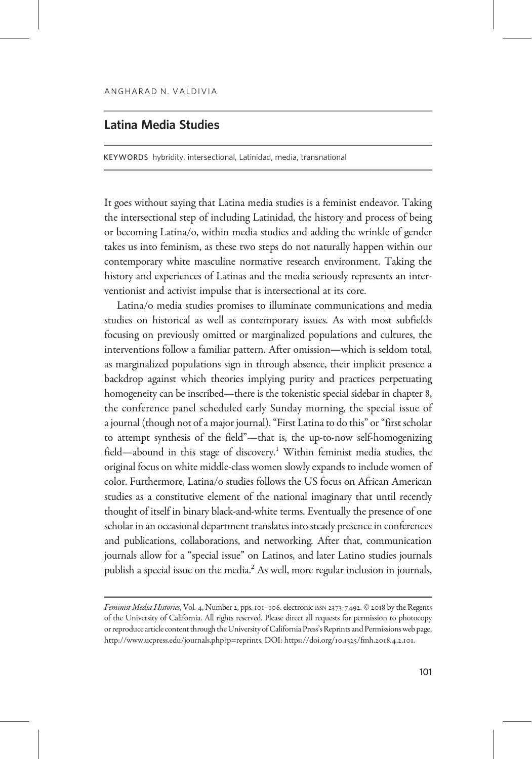## Latina Media Studies

KEYWORDS hybridity, intersectional, Latinidad, media, transnational

It goes without saying that Latina media studies is a feminist endeavor. Taking the intersectional step of including Latinidad, the history and process of being or becoming Latina/o, within media studies and adding the wrinkle of gender takes us into feminism, as these two steps do not naturally happen within our contemporary white masculine normative research environment. Taking the history and experiences of Latinas and the media seriously represents an interventionist and activist impulse that is intersectional at its core.

Latina/o media studies promises to illuminate communications and media studies on historical as well as contemporary issues. As with most subfields focusing on previously omitted or marginalized populations and cultures, the interventions follow a familiar pattern. After omission—which is seldom total, as marginalized populations sign in through absence, their implicit presence a backdrop against which theories implying purity and practices perpetuating homogeneity can be inscribed—there is the tokenistic special sidebar in chapter 8, the conference panel scheduled early Sunday morning, the special issue of a journal (though not of a major journal). "First Latina to do this" or "first scholar to attempt synthesis of the field"—that is, the up-to-now self-homogenizing field—abound in this stage of discovery.<sup>1</sup> Within feminist media studies, the original focus on white middle-class women slowly expands to include women of color. Furthermore, Latina/o studies follows the US focus on African American studies as a constitutive element of the national imaginary that until recently thought of itself in binary black-and-white terms. Eventually the presence of one scholar in an occasional department translates into steady presence in conferences and publications, collaborations, and networking. After that, communication journals allow for a "special issue" on Latinos, and later Latino studies journals publish a special issue on the media.<sup>2</sup> As well, more regular inclusion in journals,

Feminist Media Histories, Vol. 4, Number 2, pps. 101-106. electronic ISSN 2373-7492. © 2018 by the Regents of the University of California. All rights reserved. Please direct all requests for permission to photocopy or reproduce article content through the University of California Press's Reprints and Permissions web page, [http://www.ucpress.edu/journals.php?p=reprints.](http://www.ucpress.edu/journals.php?p=reprints) DOI: [https://doi.org/](https://doi.org/10.1525/fmh.2018.4.2.101)10.1525/fmh.2018.4.2.101.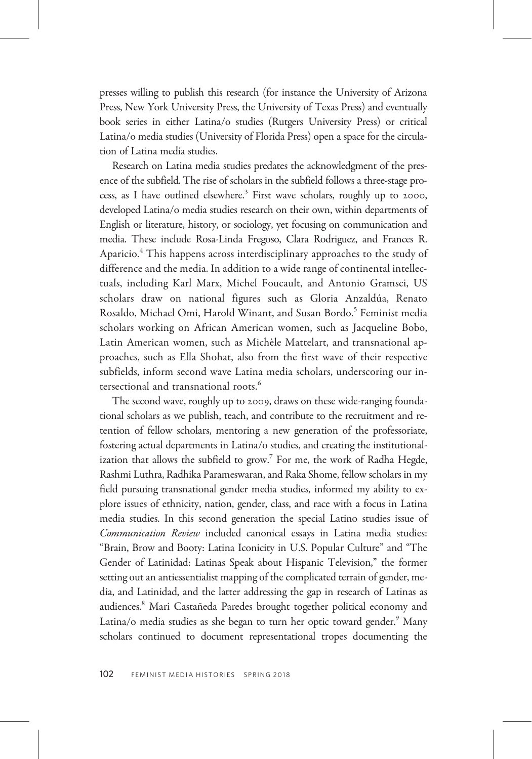presses willing to publish this research (for instance the University of Arizona Press, New York University Press, the University of Texas Press) and eventually book series in either Latina/o studies (Rutgers University Press) or critical Latina/o media studies (University of Florida Press) open a space for the circulation of Latina media studies.

Research on Latina media studies predates the acknowledgment of the presence of the subfield. The rise of scholars in the subfield follows a three-stage process, as I have outlined elsewhere.<sup>3</sup> First wave scholars, roughly up to 2000, developed Latina/o media studies research on their own, within departments of English or literature, history, or sociology, yet focusing on communication and media. These include Rosa-Linda Fregoso, Clara Rodriguez, and Frances R. Aparicio.<sup>4</sup> This happens across interdisciplinary approaches to the study of difference and the media. In addition to a wide range of continental intellectuals, including Karl Marx, Michel Foucault, and Antonio Gramsci, US scholars draw on national figures such as Gloria Anzaldúa, Renato Rosaldo, Michael Omi, Harold Winant, and Susan Bordo.<sup>5</sup> Feminist media scholars working on African American women, such as Jacqueline Bobo, Latin American women, such as Michèle Mattelart, and transnational approaches, such as Ella Shohat, also from the first wave of their respective subfields, inform second wave Latina media scholars, underscoring our intersectional and transnational roots.<sup>6</sup>

The second wave, roughly up to 2009, draws on these wide-ranging foundational scholars as we publish, teach, and contribute to the recruitment and retention of fellow scholars, mentoring a new generation of the professoriate, fostering actual departments in Latina/o studies, and creating the institutionalization that allows the subfield to grow.<sup>7</sup> For me, the work of Radha Hegde, Rashmi Luthra, Radhika Parameswaran, and Raka Shome, fellow scholars in my field pursuing transnational gender media studies, informed my ability to explore issues of ethnicity, nation, gender, class, and race with a focus in Latina media studies. In this second generation the special Latino studies issue of Communication Review included canonical essays in Latina media studies: "Brain, Brow and Booty: Latina Iconicity in U.S. Popular Culture" and "The Gender of Latinidad: Latinas Speak about Hispanic Television," the former setting out an antiessentialist mapping of the complicated terrain of gender, media, and Latinidad, and the latter addressing the gap in research of Latinas as audiences.8 Mari Castañeda Paredes brought together political economy and Latina/o media studies as she began to turn her optic toward gender.<sup>9</sup> Many scholars continued to document representational tropes documenting the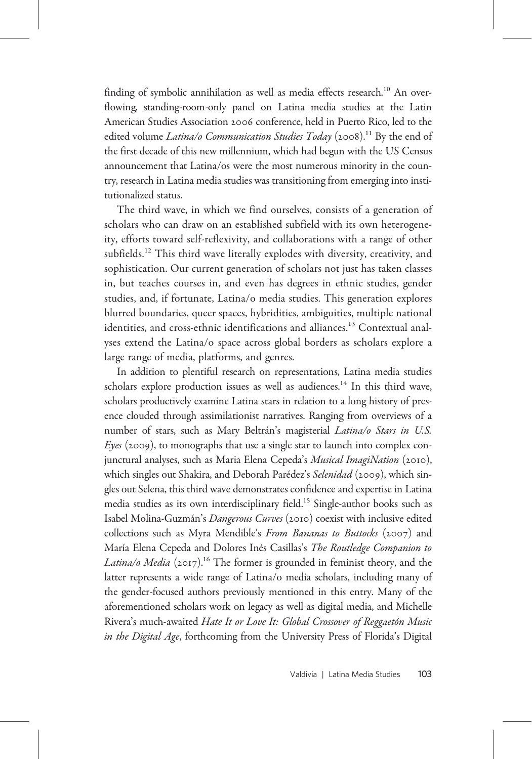finding of symbolic annihilation as well as media effects research.<sup>10</sup> An overflowing, standing-room-only panel on Latina media studies at the Latin American Studies Association 2006 conference, held in Puerto Rico, led to the edited volume Latina/o Communication Studies Today (2008).<sup>11</sup> By the end of the first decade of this new millennium, which had begun with the US Census announcement that Latina/os were the most numerous minority in the country, research in Latina media studies was transitioning from emerging into institutionalized status.

The third wave, in which we find ourselves, consists of a generation of scholars who can draw on an established subfield with its own heterogeneity, efforts toward self-reflexivity, and collaborations with a range of other subfields.<sup>12</sup> This third wave literally explodes with diversity, creativity, and sophistication. Our current generation of scholars not just has taken classes in, but teaches courses in, and even has degrees in ethnic studies, gender studies, and, if fortunate, Latina/o media studies. This generation explores blurred boundaries, queer spaces, hybridities, ambiguities, multiple national identities, and cross-ethnic identifications and alliances.<sup>13</sup> Contextual analyses extend the Latina/o space across global borders as scholars explore a large range of media, platforms, and genres.

In addition to plentiful research on representations, Latina media studies scholars explore production issues as well as audiences.<sup>14</sup> In this third wave, scholars productively examine Latina stars in relation to a long history of presence clouded through assimilationist narratives. Ranging from overviews of a number of stars, such as Mary Beltrán's magisterial Latina/o Stars in U.S. Eyes (2009), to monographs that use a single star to launch into complex conjunctural analyses, such as Maria Elena Cepeda's Musical ImagiNation (2010), which singles out Shakira, and Deborah Parédez's Selenidad (2009), which singles out Selena, this third wave demonstrates confidence and expertise in Latina media studies as its own interdisciplinary field.<sup>15</sup> Single-author books such as Isabel Molina-Guzmán's Dangerous Curves (2010) coexist with inclusive edited collections such as Myra Mendible's From Bananas to Buttocks (2007) and María Elena Cepeda and Dolores Inés Casillas's The Routledge Companion to Latina/o Media (2017).<sup>16</sup> The former is grounded in feminist theory, and the latter represents a wide range of Latina/o media scholars, including many of the gender-focused authors previously mentioned in this entry. Many of the aforementioned scholars work on legacy as well as digital media, and Michelle Rivera's much-awaited Hate It or Love It: Global Crossover of Reggaetón Music in the Digital Age, forthcoming from the University Press of Florida's Digital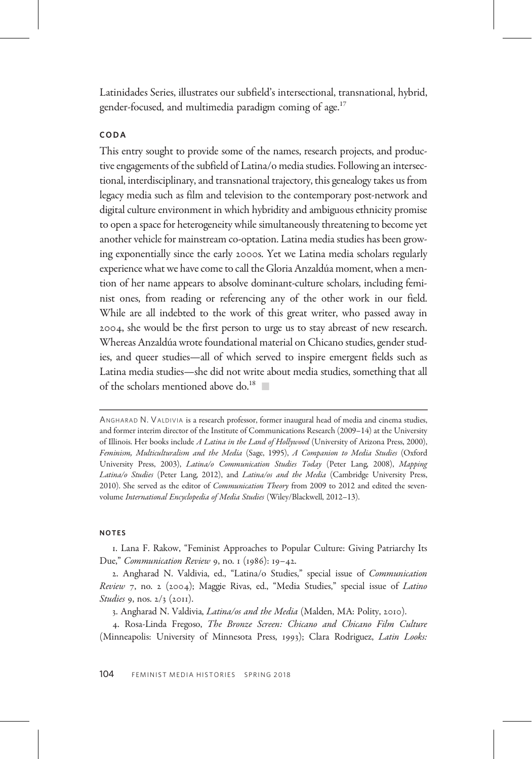Latinidades Series, illustrates our subfield's intersectional, transnational, hybrid, gender-focused, and multimedia paradigm coming of age.<sup>17</sup>

## CODA

This entry sought to provide some of the names, research projects, and productive engagements of the subfield of Latina/o media studies. Following an intersectional, interdisciplinary, and transnational trajectory, this genealogy takes us from legacy media such as film and television to the contemporary post-network and digital culture environment in which hybridity and ambiguous ethnicity promise to open a space for heterogeneity while simultaneously threatening to become yet another vehicle for mainstream co-optation. Latina media studies has been growing exponentially since the early 2000s. Yet we Latina media scholars regularly experience what we have come to call the Gloria Anzaldúa moment, when a mention of her name appears to absolve dominant-culture scholars, including feminist ones, from reading or referencing any of the other work in our field. While are all indebted to the work of this great writer, who passed away in , she would be the first person to urge us to stay abreast of new research. Whereas Anzaldúa wrote foundational material on Chicano studies, gender studies, and queer studies—all of which served to inspire emergent fields such as Latina media studies—she did not write about media studies, something that all of the scholars mentioned above do.<sup>18</sup>

## NOTES

. Lana F. Rakow, "Feminist Approaches to Popular Culture: Giving Patriarchy Its Due," Communication Review 9, no.  $1$  (1986): 19-42.

. Angharad N. Valdivia, ed., "Latina/o Studies," special issue of Communication Review 7, no. 2 (2004); Maggie Rivas, ed., "Media Studies," special issue of Latino Studies 9, nos.  $2/3$  (2011).

3. Angharad N. Valdivia, Latina/os and the Media (Malden, MA: Polity, 2010).

. Rosa-Linda Fregoso, The Bronze Screen: Chicano and Chicano Film Culture (Minneapolis: University of Minnesota Press, 1993); Clara Rodriguez, Latin Looks:

ANGHARAD N. VALDIVIA is a research professor, former inaugural head of media and cinema studies, and former interim director of the Institute of Communications Research (2009–14) at the University of Illinois. Her books include A Latina in the Land of Hollywood (University of Arizona Press, 2000), Feminism, Multiculturalism and the Media (Sage, 1995), A Companion to Media Studies (Oxford University Press, 2003), Latina/o Communication Studies Today (Peter Lang, 2008), Mapping Latina/o Studies (Peter Lang, 2012), and Latina/os and the Media (Cambridge University Press, 2010). She served as the editor of Communication Theory from 2009 to 2012 and edited the sevenvolume International Encyclopedia of Media Studies (Wiley/Blackwell, 2012–13).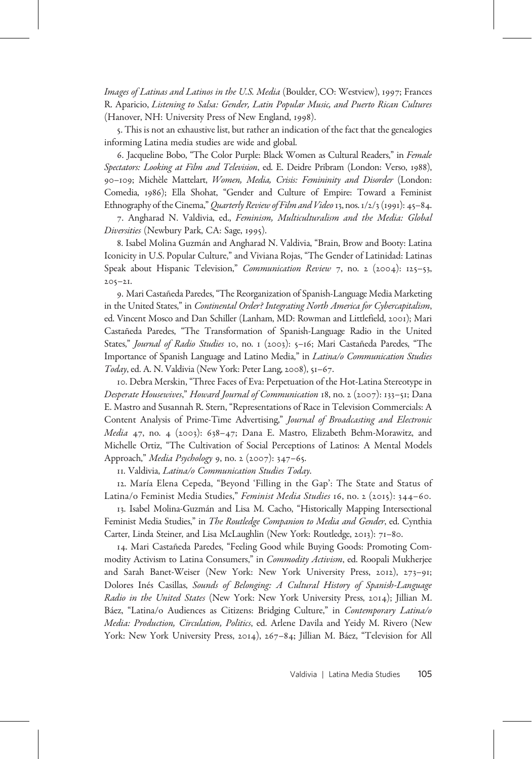Images of Latinas and Latinos in the U.S. Media (Boulder, CO: Westview), 1997; Frances R. Aparicio, Listening to Salsa: Gender, Latin Popular Music, and Puerto Rican Cultures (Hanover, NH: University Press of New England, 1998).

. This is not an exhaustive list, but rather an indication of the fact that the genealogies informing Latina media studies are wide and global.

. Jacqueline Bobo, "The Color Purple: Black Women as Cultural Readers," in Female Spectators: Looking at Film and Television, ed. E. Deidre Pribram (London: Verso, 1988), 90-109; Michèle Mattelart, Women, Media, Crisis: Femininity and Disorder (London: Comedia, 1986); Ella Shohat, "Gender and Culture of Empire: Toward a Feminist Ethnography of the Cinema," Quarterly Review of Film and Video 13, nos.  $1/2/3$  (1991): 45–84.

. Angharad N. Valdivia, ed., Feminism, Multiculturalism and the Media: Global Diversities (Newbury Park, CA: Sage, 1995).

. Isabel Molina Guzmán and Angharad N. Valdivia, "Brain, Brow and Booty: Latina Iconicity in U.S. Popular Culture," and Viviana Rojas, "The Gender of Latinidad: Latinas Speak about Hispanic Television," Communication Review 7, no. 2 (2004): 125-53,  $205 - 21$ 

. Mari Castañeda Paredes,"The Reorganization of Spanish-Language Media Marketing in the United States," in Continental Order? Integrating North America for Cybercapitalism, ed. Vincent Mosco and Dan Schiller (Lanham, MD: Rowman and Littlefield, 2001); Mari Castañeda Paredes, "The Transformation of Spanish-Language Radio in the United States," Journal of Radio Studies 10, no. 1 (2003): 5-16; Mari Castañeda Paredes, "The Importance of Spanish Language and Latino Media," in Latina/o Communication Studies Today, ed. A. N. Valdivia (New York: Peter Lang, 2008), 51-67.

. Debra Merskin, "Three Faces of Eva: Perpetuation of the Hot-Latina Stereotype in Desperate Housewives," Howard Journal of Communication  $18$ , no. 2 (2007):  $133-51$ ; Dana E. Mastro and Susannah R. Stern, "Representations of Race in Television Commercials: A Content Analysis of Prime-Time Advertising," Journal of Broadcasting and Electronic Media 47, no. 4 (2003): 638-47; Dana E. Mastro, Elizabeth Behm-Morawitz, and Michelle Ortiz, "The Cultivation of Social Perceptions of Latinos: A Mental Models Approach," Media Psychology 9, no. 2 (2007):  $347-65$ .

. Valdivia, Latina/o Communication Studies Today.

. María Elena Cepeda, "Beyond 'Filling in the Gap': The State and Status of Latina/o Feminist Media Studies," Feminist Media Studies 16, no. 2 (2015): 344-60.

. Isabel Molina-Guzmán and Lisa M. Cacho, "Historically Mapping Intersectional Feminist Media Studies," in The Routledge Companion to Media and Gender, ed. Cynthia Carter, Linda Steiner, and Lisa McLaughlin (New York: Routledge, 2013): 71-80.

. Mari Castañeda Paredes, "Feeling Good while Buying Goods: Promoting Commodity Activism to Latina Consumers," in Commodity Activism, ed. Roopali Mukherjee and Sarah Banet-Weiser (New York: New York University Press, 2012), 273-91; Dolores Inés Casillas, Sounds of Belonging: A Cultural History of Spanish-Language Radio in the United States (New York: New York University Press, 2014); Jillian M. Báez, "Latina/o Audiences as Citizens: Bridging Culture," in Contemporary Latina/o Media: Production, Circulation, Politics, ed. Arlene Davila and Yeidy M. Rivero (New York: New York University Press, 2014), 267-84; Jillian M. Báez, "Television for All